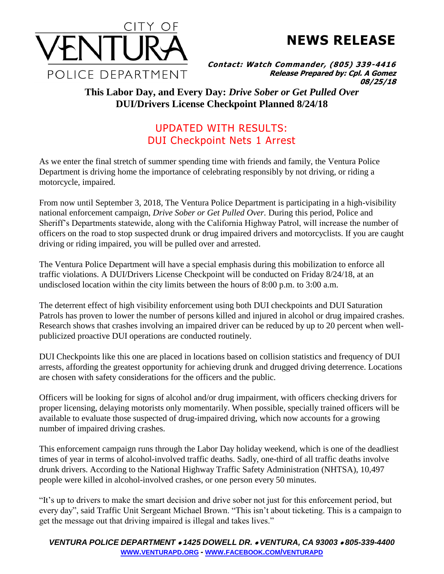

**NEWS RELEASE**

**Contact: Watch Commander, (805) 339-4416 Release Prepared by: Cpl. A Gomez 08/25/18**

## **This Labor Day, and Every Day:** *Drive Sober or Get Pulled Over* **DUI/Drivers License Checkpoint Planned 8/24/18**

## UPDATED WITH RESULTS: DUI Checkpoint Nets 1 Arrest

As we enter the final stretch of summer spending time with friends and family, the Ventura Police Department is driving home the importance of celebrating responsibly by not driving, or riding a motorcycle, impaired.

From now until September 3, 2018, The Ventura Police Department is participating in a high-visibility national enforcement campaign, *Drive Sober or Get Pulled Over.* During this period, Police and Sheriff's Departments statewide, along with the California Highway Patrol, will increase the number of officers on the road to stop suspected drunk or drug impaired drivers and motorcyclists. If you are caught driving or riding impaired, you will be pulled over and arrested.

The Ventura Police Department will have a special emphasis during this mobilization to enforce all traffic violations. A DUI/Drivers License Checkpoint will be conducted on Friday 8/24/18, at an undisclosed location within the city limits between the hours of 8:00 p.m. to 3:00 a.m.

The deterrent effect of high visibility enforcement using both DUI checkpoints and DUI Saturation Patrols has proven to lower the number of persons killed and injured in alcohol or drug impaired crashes. Research shows that crashes involving an impaired driver can be reduced by up to 20 percent when wellpublicized proactive DUI operations are conducted routinely.

DUI Checkpoints like this one are placed in locations based on collision statistics and frequency of DUI arrests, affording the greatest opportunity for achieving drunk and drugged driving deterrence. Locations are chosen with safety considerations for the officers and the public.

Officers will be looking for signs of alcohol and/or drug impairment, with officers checking drivers for proper licensing, delaying motorists only momentarily. When possible, specially trained officers will be available to evaluate those suspected of drug-impaired driving, which now accounts for a growing number of impaired driving crashes.

This enforcement campaign runs through the Labor Day holiday weekend, which is one of the deadliest times of year in terms of alcohol-involved traffic deaths. Sadly, one-third of all traffic deaths involve drunk drivers. According to the National Highway Traffic Safety Administration (NHTSA), 10,497 people were killed in alcohol-involved crashes, or one person every 50 minutes.

"It's up to drivers to make the smart decision and drive sober not just for this enforcement period, but every day", said Traffic Unit Sergeant Michael Brown. "This isn't about ticketing. This is a campaign to get the message out that driving impaired is illegal and takes lives."